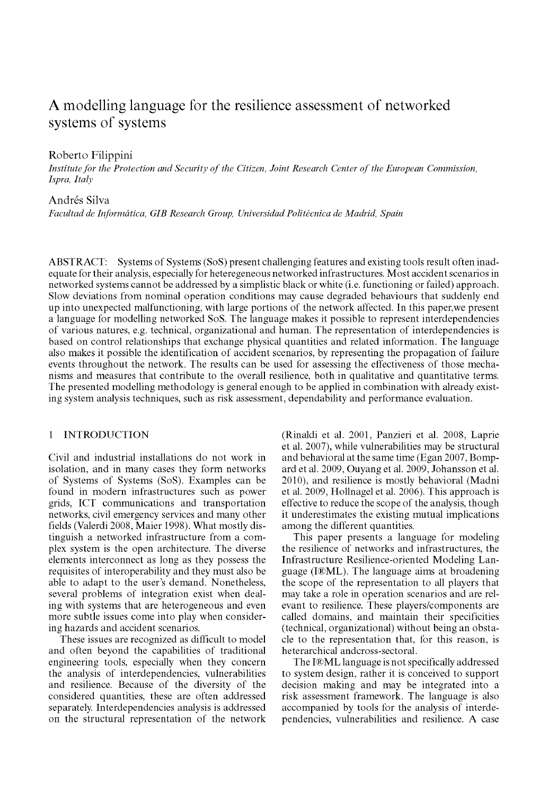# A modelling language for the resilience assessment of networked systems of systems

# Roberto Filippini

*Institute for the Protection and Security of the Citizen, Joint Research Center of the European Commission, Ispra, Italy* 

# Andrés Silva

*Facultad de Informática, GIB Research Group, Universidad Politécnica de Madrid, Spain* 

ABSTRACT: Systems of Systems (SoS) present challenging features and existing tools result often inadequate for their analysis, especially for heteregeneous networked infrastructures. Most accident scenarios in networked systems cannot be addressed by a simplistic black or white (i.e. functioning or failed) approach. Slow deviations from nominal operation conditions may cause degraded behaviours that suddenly end up into unexpected malfunctioning, with large portions of the network affected. In this paper,we present a language for modelling networked SoS. The language makes it possible to represent interdependencies of various natures, e.g. technical, organizational and human. The representation of interdependencies is based on control relationships that exchange physical quantities and related information. The language also makes it possible the identification of accident scenarios, by representing the propagation of failure events throughout the network. The results can be used for assessing the effectiveness of those mechanisms and measures that contribute to the overall resilience, both in qualitative and quantitative terms. The presented modelling methodology is general enough to be applied in combination with already existing system analysis techniques, such as risk assessment, dependability and performance evaluation.

## 1 INTRODUCTION

Civil and industrial installations do not work in isolation, and in many cases they form networks of Systems of Systems (SoS). Examples can be found in modern infrastructures such as power grids, ICT communications and transportation networks, civil emergency services and many other fields (Valerdi 2008, Maier 1998). What mostly distinguish a networked infrastructure from a complex system is the open architecture. The diverse elements interconnect as long as they possess the requisites of interoperability and they must also be able to adapt to the user's demand. Nonetheless, several problems of integration exist when dealing with systems that are heterogeneous and even more subtle issues come into play when considering hazards and accident scenarios.

These issues are recognized as difficult to model and often beyond the capabilities of traditional engineering tools, especially when they concern the analysis of interdependencies, vulnerabilities and resilience. Because of the diversity of the considered quantities, these are often addressed separately. Interdependencies analysis is addressed on the structural representation of the network

(Rinaldi et al. 2001, Panzieri et al. 2008, Laprie et al. 2007), while vulnerabilities may be structural and behavioral at the same time (Egan 2007, Bompard et al. 2009, Ouyang et al. 2009, Johansson et al. 2010), and resilience is mostly behavioral (Madni et al. 2009, Hollnagel et al. 2006). This approach is effective to reduce the scope of the analysis, though it underestimates the existing mutual implications among the different quantities.

This paper presents a language for modeling the resilience of networks and infrastructures, the Infrastructure Resilience-oriented Modeling Language (I®ML). The language aims at broadening the scope of the representation to all players that may take a role in operation scenarios and are relevant to resilience. These players/components are called domains, and maintain their specificities (technical, organizational) without being an obstacle to the representation that, for this reason, is heterarchical andcross-sectoral.

The I®ML language is not specifically addressed to system design, rather it is conceived to support decision making and may be integrated into a risk assessment framework. The language is also accompanied by tools for the analysis of interdependencies, vulnerabilities and resilience. A case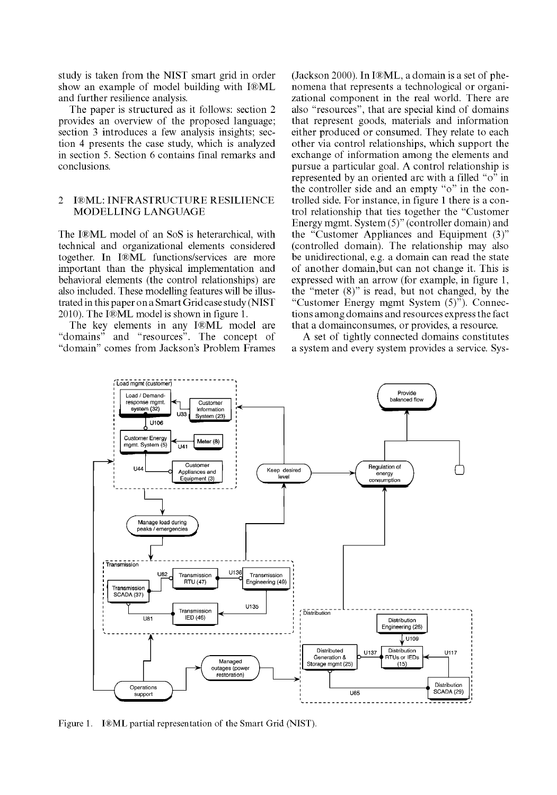study is taken from the NIST smart grid in order show an example of model building with I®ML and further resilience analysis.

The paper is structured as it follows: section 2 provides an overview of the proposed language: section 3 introduces a few analysis insights; section 4 presents the case study, which is analyzed in section 5. Section 6 contains final remarks and conclusions.

## 2 I®ML: INFRASTRUCTURE RESILIENCE MODELLING LANGUAGE

The I®ML model of an SoS is heterarchical, with technical and organizational elements considered together. In I®ML functions/services are more important than the physical implementation and behavioral elements (the control relationships) are also included. These modelling features will be illustrated in this paper on a Smart Grid case study (NIST 2010). The I®ML model is shown in figure 1.

The key elements in any I®ML model are "domains" and "resources". The concept of and "resources". The concept of "domain" comes from Jackson's Problem Frames (Jackson 2000). In I®ML, a domain is a set of phenomena that represents a technological or organizational component in the real world. There are also "resources", that are special kind of domains that represent goods, materials and information either produced or consumed. They relate to each other via control relationships, which support the exchange of information among the elements and pursue a particular goal. A control relationship is represented by an oriented arc with a filled " $o^{\hat{v}}$  in the controller side and an empty "o" in the controlled side. For instance, in figure 1 there is a control relationship that ties together the "Customer Energy mgmt. System (5)" (controller domain) and the "Customer Appliances and Equipment (3)" (controlled domain). The relationship may also be unidirectional, e.g. a domain can read the state of another domain,but can not change it. This is expressed with an arrow (for example, in figure 1, the "meter (8)" is read, but not changed, by the "Customer Energy mgmt System (5)"). Connections among domains and resources express the fact that a domainconsumes, or provides, a resource.

A set of tightly connected domains constitutes a system and every system provides a service. Sys-



Figure 1. I®ML partial representation of the Smart Grid (NIST).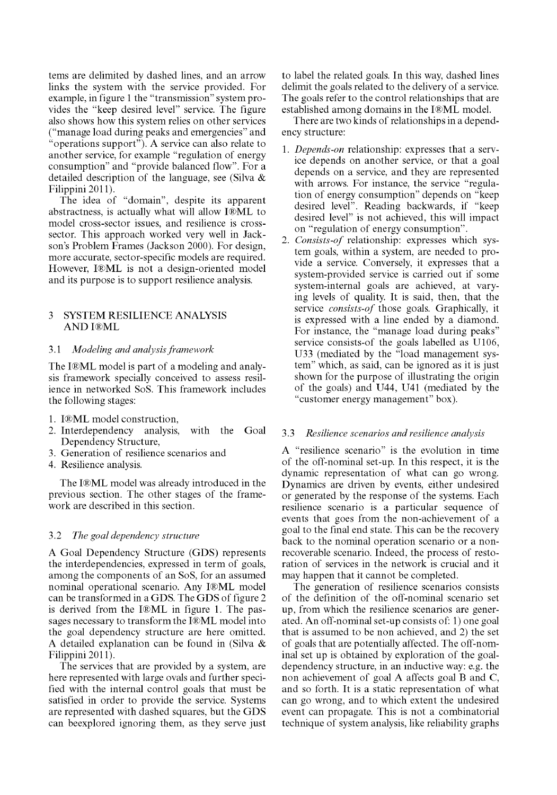terns are delimited by dashed lines, and an arrow links the system with the service provided. For example, in figure 1 the "transmission" system provides the "keep desired level" service. The figure also shows how this system relies on other services ("manage load during peaks and emergencies" and "operations support"). A service can also relate to another service, for example "regulation of energy consumption" and "provide balanced flow". For a detailed description of the language, see (Silva & Filippini2011).

The idea of "domain", despite its apparent abstractness, is actually what will allow I®ML to model cross-sector issues, and resilience is crosssector. This approach worked very well in Jackson's Problem Frames (Jackson 2000). For design, more accurate, sector-specific models are required. However, I®ML is not a design-oriented model and its purpose is to support resilience analysis.

## 3 SYSTEM RESILIENCE ANALYSIS AND I®ML

#### 3.1 *Modeling and analysis framework*

The I®ML model is part of a modeling and analysis framework specially conceived to assess resilience in networked SoS. This framework includes the following stages:

- 1. I®ML model construction,
- 2. Interdependency analysis, with the Goal Dependency Structure,
- 3. Generation of resilience scenarios and
- 4. Resilience analysis.

The I®ML model was already introduced in the previous section. The other stages of the framework are described in this section.

#### 3.2 *The goal dependency structure*

A Goal Dependency Structure (GDS) represents the interdependencies, expressed in term of goals, among the components of an SoS, for an assumed nominal operational scenario. Any I®ML model can be transformed in a GDS. The GDS of figure 2 is derived from the I®ML in figure 1. The passages necessary to transform the I®ML model into the goal dependency structure are here omitted. A detailed explanation can be found in (Silva & Filippini2011).

The services that are provided by a system, are here represented with large ovals and further specified with the internal control goals that must be satisfied in order to provide the service. Systems are represented with dashed squares, but the GDS can beexplored ignoring them, as they serve just to label the related goals. In this way, dashed lines delimit the goals related to the delivery of a service. The goals refer to the control relationships that are established among domains in the I®ML model.

There are two kinds of relationships in a dependency structure:

- 1. *Depends-on* relationship: expresses that a service depends on another service, or that a goal depends on a service, and they are represented with arrows. For instance, the service "regulation of energy consumption" depends on "keep desired level". Reading backwards, if "keep desired level" is not achieved, this will impact on "regulation of energy consumption".
- 2. *Consists-of* relationship: expresses which system goals, within a system, are needed to provide a service. Conversely, it expresses that a system-provided service is carried out if some system-internal goals are achieved, at varying levels of quality. It is said, then, that the service *consists-of* those goals. Graphically, it is expressed with a line ended by a diamond. For instance, the "manage load during peaks" service consists-of the goals labelled as U106, U33 (mediated by the "load management system" which, as said, can be ignored as it is just shown for the purpose of illustrating the origin of the goals) and U44, U41 (mediated by the "customer energy management" box).

## 3.3 *Resilience scenarios and resilience analysis*

A "resilience scenario" is the evolution in time of the off-nominal set-up. In this respect, it is the dynamic representation of what can go wrong. Dynamics are driven by events, either undesired or generated by the response of the systems. Each resilience scenario is a particular sequence of events that goes from the non-achievement of a goal to the final end state. This can be the recovery back to the nominal operation scenario or a nonrecoverable scenario. Indeed, the process of restoration of services in the network is crucial and it may happen that it cannot be completed.

The generation of resilience scenarios consists of the definition of the off-nominal scenario set up, from which the resilience scenarios are generated. An off-nominal set-up consists of: 1) one goal that is assumed to be non achieved, and 2) the set of goals that are potentially affected. The off-nominal set up is obtained by exploration of the goaldependency structure, in an inductive way: e.g. the non achievement of goal A affects goal B and C, and so forth. It is a static representation of what can go wrong, and to which extent the undesired event can propagate. This is not a combinatorial technique of system analysis, like reliability graphs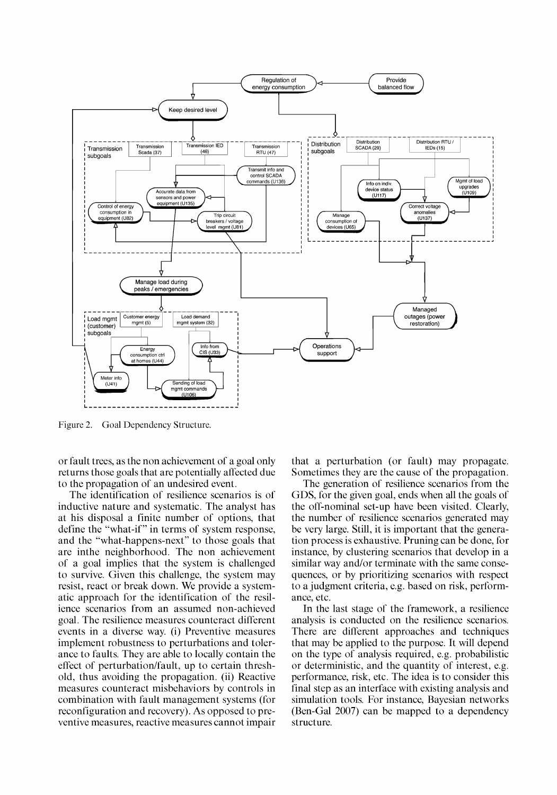

Figure 2. Goal Dependency Structure.

or fault trees, as the non achievement of a goal only returns those goals that are potentially affected due to the propagation of an undesired event.

The identification of resilience scenarios is of inductive nature and systematic. The analyst has at his disposal a finite number of options, that define the "what-if" in terms of system response, and the "what-happens-next" to those goals that are inthe neighborhood. The non achievement of a goal implies that the system is challenged to survive. Given this challenge, the system may resist, react or break down. We provide a systematic approach for the identification of the resilience scenarios from an assumed non-achieved goal. The resilience measures counteract different events in a diverse way. (i) Preventive measures implement robustness to perturbations and tolerance to faults. They are able to locally contain the effect of perturbation/fault, up to certain threshold, thus avoiding the propagation, (ii) Reactive measures counteract misbehaviors by controls in combination with fault management systems (for reconfiguration and recovery). As opposed to preventive measures, reactive measures cannot impair that a perturbation (or fault) may propagate. Sometimes they are the cause of the propagation.

The generation of resilience scenarios from the GDS, for the given goal, ends when all the goals of the off-nominal set-up have been visited. Clearly, the number of resilience scenarios generated may be very large. Still, it is important that the generation process is exhaustive. Pruning can be done, for instance, by clustering scenarios that develop in a similar way and/or terminate with the same consequences, or by prioritizing scenarios with respect to a judgment criteria, e.g. based on risk, performance, etc.

In the last stage of the framework, a resilience analysis is conducted on the resilience scenarios. There are different approaches and techniques that may be applied to the purpose. It will depend on the type of analysis required, e.g. probabilistic or deterministic, and the quantity of interest, e.g. performance, risk, etc. The idea is to consider this final step as an interface with existing analysis and simulation tools. For instance, Bayesian networks (Ben-Gal 2007) can be mapped to a dependency structure.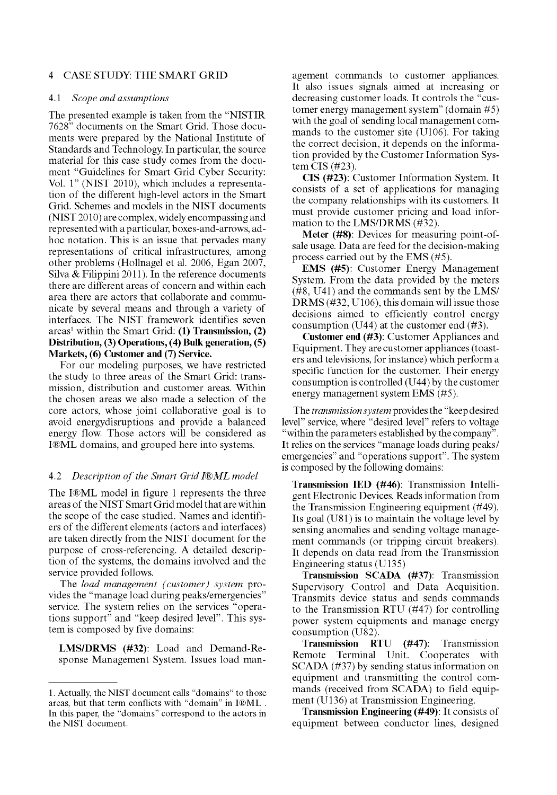## 4 CASE STUDY: THE SMART GRID

#### 4.1 *Scope and assumptions*

The presented example is taken from the "NISTIR 7628" documents on the Smart Grid. Those documents were prepared by the National Institute of Standards and Technology. In particular, the source material for this case study comes from the document "Guidelines for Smart Grid Cyber Security: Vol. 1" (NIST 2010), which includes a representation of the different high-level actors in the Smart Grid. Schemes and models in the NIST documents (NIST 2010) are complex, widely encompassing and represented with a particular, boxes-and-arrows, adhoc notation. This is an issue that pervades many representations of critical infrastructures, among other problems (Hollnagel et al. 2006, Egan 2007, Silva & Filippini 2011). In the reference documents there are different areas of concern and within each area there are actors that collaborate and communicate by several means and through a variety of interfaces. The NIST framework identifies seven areas<sup>1</sup> within the Smart Grid: **(1) Transmission, (2) Distribution, (3) Operations, (4) Bulk generation, (5) Markets, (6) Customer and (7) Service.** 

For our modeling purposes, we have restricted the study to three areas of the Smart Grid: transmission, distribution and customer areas. Within the chosen areas we also made a selection of the core actors, whose joint collaborative goal is to avoid energydisruptions and provide a balanced energy flow. Those actors will be considered as I®ML domains, and grouped here into systems.

#### 4.2 *Description of the Smart Grid I®ML model*

The I®ML model in figure 1 represents the three areas of the NIST Smart Grid model that are within the scope of the case studied. Names and identifiers of the different elements (actors and interfaces) are taken directly from the NIST document for the purpose of cross-referencing. A detailed description of the systems, the domains involved and the service provided follows.

The *load management (customer) system* provides the "manage load during peaks/emergencies'' service. The system relies on the services "operations support" and "keep desired level". This system is composed by five domains:

**LMS/DRMS (#32):** Load and Demand-Response Management System. Issues load management commands to customer appliances. It also issues signals aimed at increasing or decreasing customer loads. It controls the "customer energy management system" (domain #5) with the goal of sending local management commands to the customer site (U106). For taking the correct decision, it depends on the information provided by the Customer Information System CIS (#23).

**CIS** (#23): Customer Information System. It consists of a set of applications for managing the company relationships with its customers. It must provide customer pricing and load information to the LMS/DRMS (#32).

**Meter** (#8): Devices for measuring point-ofsale usage. Data are feed for the decision-making process carried out by the EMS (#5).

**EMS** (#5): Customer Energy Management System. From the data provided by the meters (#8, U41) and the commands sent by the LMS/ DRMS (#32, U106), this domain will issue those decisions aimed to efficiently control energy consumption (U44) at the customer end (#3).

**Customer end (#3):** Customer Appliances and Equipment. They are customer appliances (toasters and televisions, for instance) which perform a specific function for the customer. Their energy consumption is controlled (U44) by the customer energy management system EMS (#5).

The *transmission system* provides the "keep desired level" service, where "desired level" refers to voltage "within the parameters established by the company". It relies on the services "manage loads during peaks/ emergencies" and "operations support". The system is composed by the following domains:

**Transmission JED (#46):** Transmission Intelligent Electronic Devices. Reads information from the Transmission Engineering equipment (#49). Its goal (U81) is to maintain the voltage level by sensing anomalies and sending voltage management commands (or tripping circuit breakers). It depends on data read from the Transmission Engineering status (U135)

**Transmission SCADA (#37):** Transmission Supervisory Control and Data Acquisition. Transmits device status and sends commands to the Transmission RTU (#47) for controlling power system equipments and manage energy consumption (U82).

**Transmission RTU (#47):** Transmission Remote Terminal Unit. Cooperates with SCADA (#37) by sending status information on equipment and transmitting the control commands (received from SCADA) to field equipment (U136) at Transmission Engineering.

**Transmission Engineering (#49):** It consists of equipment between conductor lines, designed

<sup>1.</sup> Actually, the NIST document calls "domains" to those areas, but that term conflicts with "domain" in I®ML . In this paper, the "domains" correspond to the actors in the NIST document.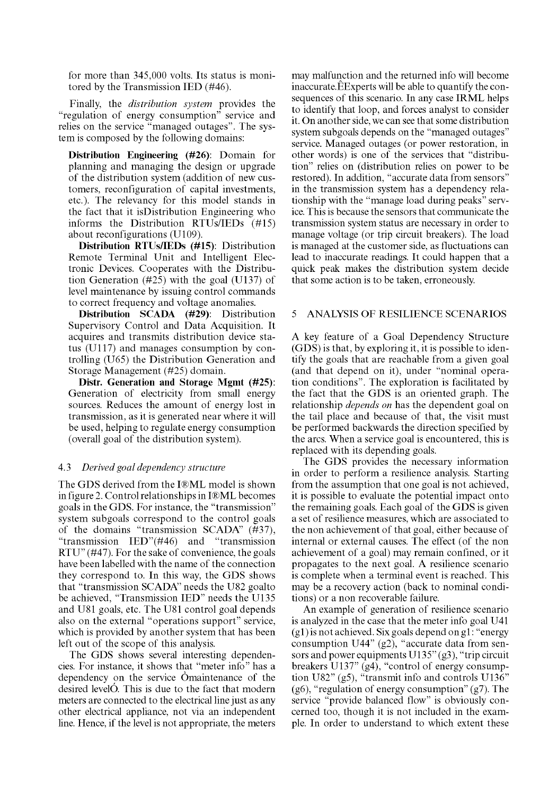for more than 345,000 volts. Its status is monitored by the Transmission IED (#46).

Finally, the *distribution system* provides the "regulation of energy consumption" service and relies on the service "managed outages". The system is composed by the following domains:

**Distribution Engineering (#26):** Domain for planning and managing the design or upgrade of the distribution system (addition of new customers, reconfiguration of capital investments, etc.). The relevancy for this model stands in the fact that it isDistribution Engineering who informs the Distribution RTUs/IEDs (#15) about reconfigurations (U109).

**Distribution RTUs/IEDs (#15):** Distribution Remote Terminal Unit and Intelligent Electronic Devices. Cooperates with the Distribution Generation (#25) with the goal (U137) of level maintenance by issuing control commands to correct frequency and voltage anomalies.

**Distribution SCADA (#29):** Distribution Supervisory Control and Data Acquisition. It acquires and transmits distribution device status (U117) and manages consumption by controlling (U65) the Distribution Generation and Storage Management (#25) domain.

**Distr. Generation and Storage Mgmt (#25):**  Generation of electricity from small energy sources. Reduces the amount of energy lost in transmission, as it is generated near where it will be used, helping to regulate energy consumption (overall goal of the distribution system).

## 4.3 *Derived goal dependency structure*

The GDS derived from the I®ML model is shown in figure 2. Control relationships in I®ML becomes goals in the GDS. For instance, the "transmission" system subgoals correspond to the control goals of the domains "transmission SCADA" (#37), "transmission IED"(#46) and "transmission RTU" (#47). For the sake of convenience, the goals have been labelled with the name of the connection they correspond to. In this way, the GDS shows that "transmission SCADA" needs the U82 goalto be achieved, "Transmission IED" needs the U135 and U81 goals, etc. The U81 control goal depends also on the external "operations support" service, which is provided by another system that has been left out of the scope of this analysis.

The GDS shows several interesting dependencies. For instance, it shows that "meter info" has a dependency on the service Omaintenance of the desired levelO. This is due to the fact that modern meters are connected to the electrical line just as any other electrical appliance, not via an independent line. Hence, if the level is not appropriate, the meters may malfunction and the returned info will become inaccurate.EExperts will be able to quantify the consequences of this scenario. In any case IRML helps to identify that loop, and forces analyst to consider it. On another side, we can see that some distribution system subgoals depends on the "managed outages" service. Managed outages (or power restoration, in other words) is one of the services that "distribution" relies on (distribution relies on power to be restored). In addition, "accurate data from sensors" in the transmission system has a dependency relationship with the "manage load during peaks" service. This is because the sensors that communicate the transmission system status are necessary in order to manage voltage (or trip circuit breakers). The load is managed at the customer side, as fluctuations can lead to inaccurate readings. It could happen that a quick peak makes the distribution system decide that some action is to be taken, erroneously.

## 5 ANALYSIS OF RESILIENCE SCENARIOS

A key feature of a Goal Dependency Structure (GDS) is that, by exploring it, it is possible to identify the goals that are reachable from a given goal (and that depend on it), under "nominal operation conditions". The exploration is facilitated by the fact that the GDS is an oriented graph. The relationship *depends on* has the dependent goal on the tail place and because of that, the visit must be performed backwards the direction specified by the arcs. When a service goal is encountered, this is replaced with its depending goals.

The GDS provides the necessary information in order to perform a resilience analysis. Starting from the assumption that one goal is not achieved, it is possible to evaluate the potential impact onto the remaining goals. Each goal of the GDS is given a set of resilience measures, which are associated to the non achievement of that goal, either because of internal or external causes. The effect (of the non achievement of a goal) may remain confined, or it propagates to the next goal. A resilience scenario is complete when a terminal event is reached. This may be a recovery action (back to nominal conditions) or a non recoverable failure.

An example of generation of resilience scenario is analyzed in the case that the meter info goal U41 (gl) is not achieved. Six goals depend on gl: "energy consumption U44" (g2), "accurate data from sensors and power equipments  $U135" (g3)$ , "trip circuit breakers  $U137"$  (g4), "control of energy consumption U82" (g5), "transmit info and controls U136"  $(g6)$ , "regulation of energy consumption"  $(g7)$ . The service "provide balanced flow" is obviously concerned too, though it is not included in the example. In order to understand to which extent these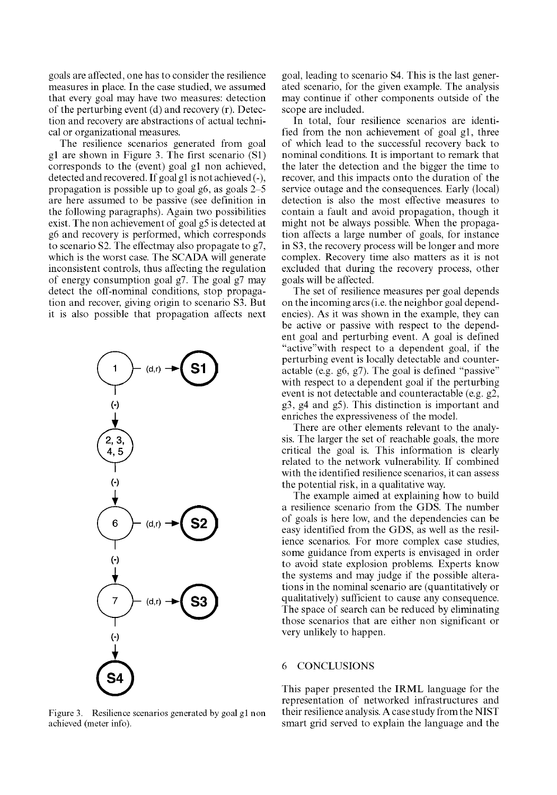goals are affected, one has to consider the resilience measures in place. In the case studied, we assumed that every goal may have two measures: detection of the perturbing event (d) and recovery (r). Detection and recovery are abstractions of actual technical or organizational measures.

The resilience scenarios generated from goal gl are shown in Figure 3. The first scenario (SI) corresponds to the (event) goal gl non achieved, detected and recovered. If goal gl is not achieved (-), propagation is possible up to goal g6, as goals 2-5 are here assumed to be passive (see definition in the following paragraphs). Again two possibilities exist. The non achievement of goal g5 is detected at g6 and recovery is performed, which corresponds to scenario S2. The effectmay also propagate to g7, which is the worst case. The SCADA will generate inconsistent controls, thus affecting the regulation of energy consumption goal g7. The goal g7 may detect the off-nominal conditions, stop propagation and recover, giving origin to scenario S3. But it is also possible that propagation affects next



Figure 3. Resilience scenarios generated by goal gl non achieved (meter info).

goal, leading to scenario S4. This is the last generated scenario, for the given example. The analysis may continue if other components outside of the scope are included.

In total, four resilience scenarios are identified from the non achievement of goal gl, three of which lead to the successful recovery back to nominal conditions. It is important to remark that the later the detection and the bigger the time to recover, and this impacts onto the duration of the service outage and the consequences. Early (local) detection is also the most effective measures to contain a fault and avoid propagation, though it might not be always possible. When the propagation affects a large number of goals, for instance in S3, the recovery process will be longer and more complex. Recovery time also matters as it is not excluded that during the recovery process, other goals will be affected.

The set of resilience measures per goal depends on the incoming arcs (i.e. the neighbor goal dependencies). As it was shown in the example, they can be active or passive with respect to the dependent goal and perturbing event. A goal is defined "active"with respect to a dependent goal, if the perturbing event is locally detectable and counteractable (e.g. g6, g7). The goal is defined "passive" with respect to a dependent goal if the perturbing event is not detectable and counteractable (e.g. g2, g3, g4 and g5). This distinction is important and enriches the expressiveness of the model.

There are other elements relevant to the analysis. The larger the set of reachable goals, the more critical the goal is. This information is clearly related to the network vulnerability. If combined with the identified resilience scenarios, it can assess the potential risk, in a qualitative way.

The example aimed at explaining how to build a resilience scenario from the GDS. The number of goals is here low, and the dependencies can be easy identified from the GDS, as well as the resilience scenarios. For more complex case studies, some guidance from experts is envisaged in order to avoid state explosion problems. Experts know the systems and may judge if the possible alterations in the nominal scenario are (quantitatively or qualitatively) sufficient to cause any consequence. The space of search can be reduced by eliminating those scenarios that are either non significant or very unlikely to happen.

## 6 CONCLUSIONS

This paper presented the IRML language for the representation of networked infrastructures and their resilience analysis. A case study from the NIST smart grid served to explain the language and the